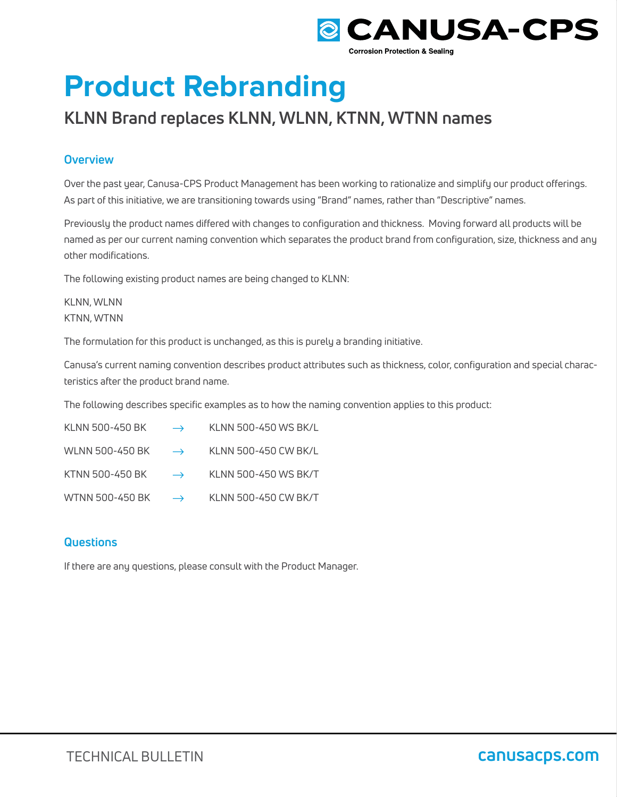

# **Product Rebranding**

# **KLNN Brand replaces KLNN, WLNN, KTNN, WTNN names**

## **Overview**

Over the past year, Canusa-CPS Product Management has been working to rationalize and simplify our product offerings. As part of this initiative, we are transitioning towards using "Brand" names, rather than "Descriptive" names.

Previously the product names differed with changes to configuration and thickness. Moving forward all products will be named as per our current naming convention which separates the product brand from configuration, size, thickness and any other modifications.

The following existing product names are being changed to KLNN:

KLNN, WLNN KTNN, WTNN

The formulation for this product is unchanged, as this is purely a branding initiative.

Canusa's current naming convention describes product attributes such as thickness, color, configuration and special characteristics after the product brand name.

The following describes specific examples as to how the naming convention applies to this product:

| KLNN 500-450 BK | $\rightarrow$ KLNN 500-450 WS BK/L                 |
|-----------------|----------------------------------------------------|
|                 | WLNN 500-450 BK $\rightarrow$ KLNN 500-450 CW BK/L |
|                 | KTNN 500-450 BK $\rightarrow$ KLNN 500-450 WS BK/T |
|                 | WTNN 500-450 BK $\rightarrow$ KLNN 500-450 CW BK/T |

### **Questions**

If there are any questions, please consult with the Product Manager.